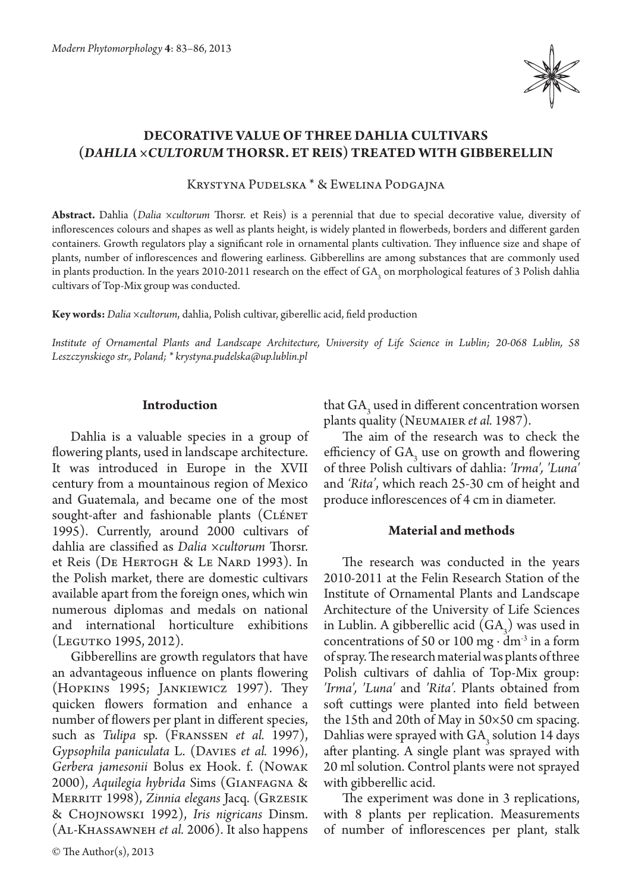

# **Decorative value of three dahlia cultivars (***Dahlia ×cultorum* **Thorsr. et Reis) treated with gibberellin**

Krystyna Pudelska \* & Ewelina Podgajna

**Abstract.** Dahlia (*Dalia ×cultorum* Thorsr. et Reis) is a perennial that due to special decorative value, diversity of inflorescences colours and shapes as well as plants height, is widely planted in flowerbeds, borders and different garden containers. Growth regulators play a significant role in ornamental plants cultivation. They influence size and shape of plants, number of inflorescences and flowering earliness. Gibberellins are among substances that are commonly used in plants production. In the years 2010-2011 research on the effect of GA<sub>3</sub> on morphological features of 3 Polish dahlia cultivars of Top-Mix group was conducted.

**Key words:** *Dalia ×cultorum*, dahlia, Polish cultivar, giberellic acid, field production

*Institute of Ornamental Plants and Landscape Architecture, University of Life Science in Lublin; 20-068 Lublin, 58 Leszczynskiego str., Poland; \* krystyna.pudelska@up.lublin.pl*

#### **Introduction**

Dahlia is a valuable species in a group of flowering plants, used in landscape architecture. It was introduced in Europe in the XVII century from a mountainous region of Mexico and Guatemala, and became one of the most sought-after and fashionable plants (CLÉNET 1995). Currently, around 2000 cultivars of dahlia are classified as *Dalia ×cultorum* Thorsr. et Reis (De Hertogh & Le Nard 1993). In the Polish market, there are domestic cultivars available apart from the foreign ones, which win numerous diplomas and medals on national and international horticulture exhibitions (Legutko 1995, 2012).

Gibberellins are growth regulators that have an advantageous influence on plants flowering (Hopkins 1995; Jankiewicz 1997). They quicken flowers formation and enhance a number of flowers per plant in different species, such as *Tulipa* sp. (Franssen *et al.* 1997), *Gypsophila paniculata* L. (Davies *et al.* 1996), *Gerbera jamesonii* Bolus ex Hook. f. (Nowak 2000), *Aquilegia hybrida* Sims (Gianfagna & Merritt 1998), *Zinnia elegans* Jacq. (Grzesik & Chojnowski 1992), *Iris nigricans* Dinsm. (Al-Khassawneh *et al.* 2006). It also happens that  $GA_3$  used in different concentration worsen plants quality (Neumaier *et al.* 1987).

The aim of the research was to check the efficiency of  $GA_3$  use on growth and flowering of three Polish cultivars of dahlia: *'Irma', 'Luna'*  and *'Rita'*, which reach 25-30 cm of height and produce inflorescences of 4 cm in diameter.

## **Material and methods**

The research was conducted in the years 2010-2011 at the Felin Research Station of the Institute of Ornamental Plants and Landscape Architecture of the University of Life Sciences in Lublin. A gibberellic acid  $(GA_3)$  was used in concentrations of 50 or 100 mg ⋅  $dm<sup>3</sup>$  in a form of spray. The research material was plants of three Polish cultivars of dahlia of Top-Mix group: *'Irma', 'Luna'* and *'Rita'.* Plants obtained from soft cuttings were planted into field between the 15th and 20th of May in 50×50 cm spacing. Dahlias were sprayed with  $GA_3$  solution 14 days after planting. A single plant was sprayed with 20 ml solution. Control plants were not sprayed with gibberellic acid.

The experiment was done in 3 replications, with 8 plants per replication. Measurements of number of inflorescences per plant, stalk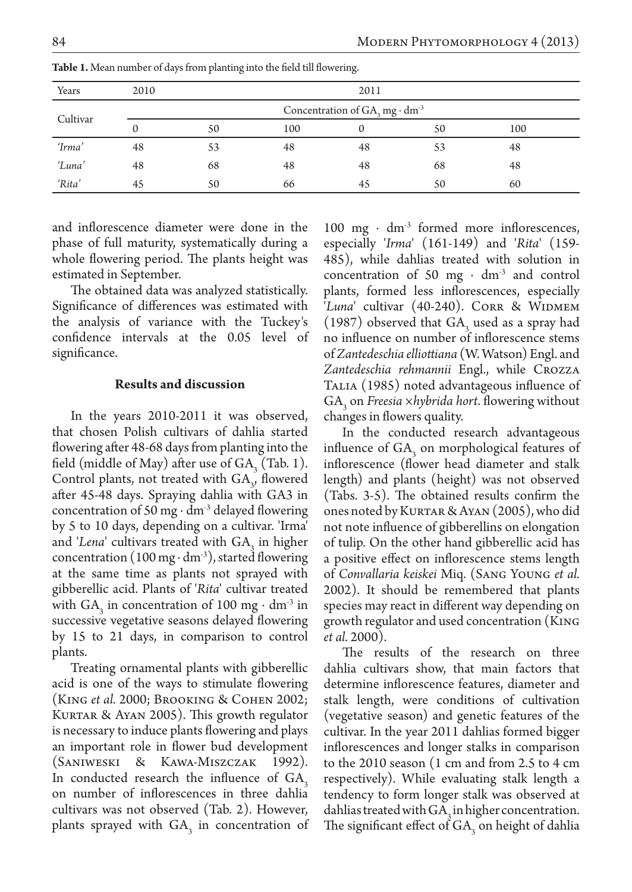| Years    | 2010 | 2011                                                     |     |    |    |     |  |  |  |  |
|----------|------|----------------------------------------------------------|-----|----|----|-----|--|--|--|--|
| Cultivar |      | Concentration of $GA$ <sub>3</sub> mg · dm <sup>-3</sup> |     |    |    |     |  |  |  |  |
|          |      | 50                                                       | 100 |    | 50 | 100 |  |  |  |  |
| 'Irma'   | 48   | 53                                                       | 48  | 48 | 53 | 48  |  |  |  |  |
| 'Luna'   | 48   | 68                                                       | 48  | 48 | 68 | 48  |  |  |  |  |
| 'Rita'   | 45   | 50                                                       | 66  | 45 | 50 | 60  |  |  |  |  |

**Table 1.** Mean number of days from planting into the field till flowering.

and inflorescence diameter were done in the phase of full maturity, systematically during a whole flowering period. The plants height was estimated in September.

The obtained data was analyzed statistically. Significance of differences was estimated with the analysis of variance with the Tuckey's confidence intervals at the 0.05 level of significance.

### **Results and discussion**

In the years 2010-2011 it was observed, that chosen Polish cultivars of dahlia started flowering after 48-68 days from planting into the field (middle of May) after use of  $GA_3$  (Tab. 1). Control plants, not treated with  $GA_{3}$ , flowered after 45-48 days. Spraying dahlia with GA3 in concentration of 50 mg ∙ dm-3 delayed flowering by 5 to 10 days, depending on a cultivar. 'Irma' and *'Lena*' cultivars treated with GA<sub>3</sub> in higher concentration (100 mg ⋅ dm<sup>-3</sup>), started flowering at the same time as plants not sprayed with gibberellic acid. Plants of '*Rita*' cultivar treated with  $GA_3$  in concentration of 100 mg ⋅ dm<sup>-3</sup> in successive vegetative seasons delayed flowering by 15 to 21 days, in comparison to control plants.

Treating ornamental plants with gibberellic acid is one of the ways to stimulate flowering (King *et al.* 2000; Brooking & Cohen 2002; Kurtar & Ayan 2005). This growth regulator is necessary to induce plants flowering and plays an important role in flower bud development (Saniweski & Kawa-Miszczak 1992). In conducted research the influence of  $GA_3$ on number of inflorescences in three dahlia cultivars was not observed (Tab. 2). However, plants sprayed with  $GA_3$  in concentration of 100 mg · dm<sup>-3</sup> formed more inflorescences, especially '*Irma*' (161-149) and '*Rita*' (159- 485), while dahlias treated with solution in concentration of 50 mg ⋅  $dm<sup>3</sup>$  and control plants, formed less inflorescences, especially '*Luna*' cultivar (40-240). CORR & WIDMEM (1987) observed that  $GA_3$  used as a spray had no influence on number of inflorescence stems of *Zantedeschia elliottiana* (W. Watson) Engl. and *Zantedeschia rehmannii* Engl., while Crozza Talia (1985) noted advantageous influence of  $GA<sub>3</sub>$  on *Freesia ×hybrida hort*. flowering without changes in flowers quality.

In the conducted research advantageous influence of  $GA_3$  on morphological features of inflorescence (flower head diameter and stalk length) and plants (height) was not observed (Tabs. 3-5). The obtained results confirm the ones noted by Kurtar & Ayan (2005), who did not note influence of gibberellins on elongation of tulip. On the other hand gibberellic acid has a positive effect on inflorescence stems length of *Convallaria keiskei* Miq. (Sang Young *et al.* 2002). It should be remembered that plants species may react in different way depending on growth regulator and used concentration (King *et al.* 2000).

The results of the research on three dahlia cultivars show, that main factors that determine inflorescence features, diameter and stalk length, were conditions of cultivation (vegetative season) and genetic features of the cultivar. In the year 2011 dahlias formed bigger inflorescences and longer stalks in comparison to the 2010 season (1 cm and from 2.5 to 4 cm respectively). While evaluating stalk length a tendency to form longer stalk was observed at dahlias treated with  $GA_3$  in higher concentration. The significant effect of  $GA_3$  on height of dahlia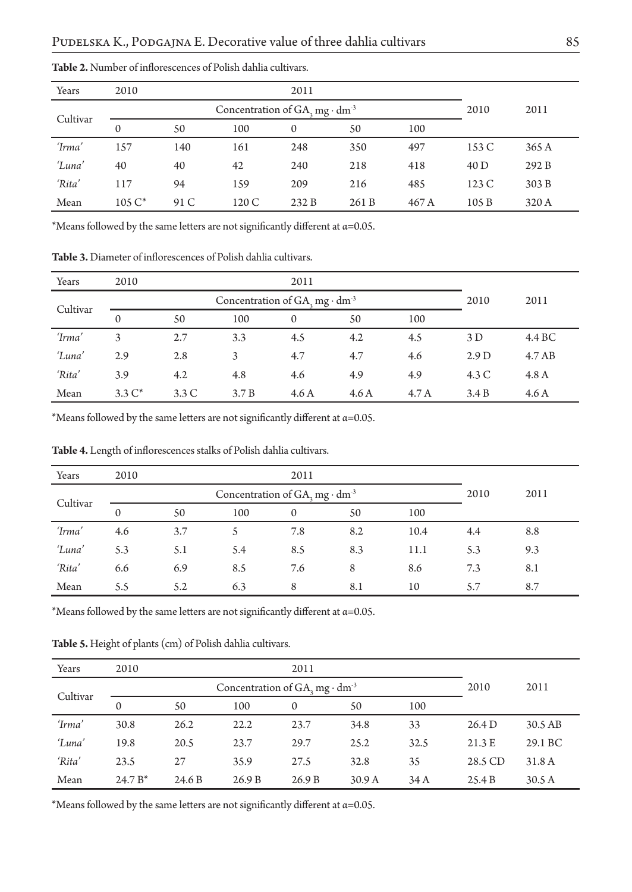| Years    | 2010         |      |       |              |       |       |       |       |
|----------|--------------|------|-------|--------------|-------|-------|-------|-------|
| Cultivar |              | 2010 | 2011  |              |       |       |       |       |
|          | $\mathbf{0}$ | 50   | 100   | $\mathbf{0}$ | 50    | 100   |       |       |
| 'Irma'   | 157          | 140  | 161   | 248          | 350   | 497   | 153 C | 365 A |
| 'Luna'   | 40           | 40   | 42    | 240          | 218   | 418   | 40 D  | 292 B |
| 'Rita'   | 117          | 94   | 159   | 209          | 216   | 485   | 123C  | 303 B |
| Mean     | $105 C^*$    | 91 C | 120 C | 232B         | 261 B | 467 A | 105B  | 320 A |

**Table 2.** Number of inflorescences of Polish dahlia cultivars.

\*Means followed by the same letters are not significantly different at  $\alpha$ =0.05.

**Table 3.** Diameter of inflorescences of Polish dahlia cultivars.

| Years    | 2010      | 2011                                                |       |      |      |       |       |        |
|----------|-----------|-----------------------------------------------------|-------|------|------|-------|-------|--------|
| Cultivar |           | Concentration of $GA_3$ mg $\cdot$ dm <sup>-3</sup> | 2010  | 2011 |      |       |       |        |
|          | $\Omega$  | 50                                                  | 100   | 0    | 50   | 100   |       |        |
| 'Irma'   | 3         | 2.7                                                 | 3.3   | 4.5  | 4.2  | 4.5   | 3D    | 4.4 BC |
| 'Luna'   | 2.9       | 2.8                                                 | 3     | 4.7  | 4.7  | 4.6   | 2.9 D | 4.7AB  |
| 'Rita'   | 3.9       | 4.2                                                 | 4.8   | 4.6  | 4.9  | 4.9   | 4.3 C | 4.8A   |
| Mean     | $3.3 C^*$ | 3.3C                                                | 3.7 B | 4.6A | 4.6A | 4.7 A | 3.4 B | 4.6A   |

\*Means followed by the same letters are not significantly different at  $\alpha$ =0.05.

| Years    | 2010     |     |      |          |     |      |     |     |
|----------|----------|-----|------|----------|-----|------|-----|-----|
| Cultivar |          |     | 2010 | 2011     |     |      |     |     |
|          | $\Omega$ | 50  | 100  | $\Omega$ | 50  | 100  |     |     |
| 'Irma'   | 4.6      | 3.7 |      | 7.8      | 8.2 | 10.4 | 4.4 | 8.8 |
| 'Luna'   | 5.3      | 5.1 | 5.4  | 8.5      | 8.3 | 11.1 | 5.3 | 9.3 |
| 'Rita'   | 6.6      | 6.9 | 8.5  | 7.6      | 8   | 8.6  | 7.3 | 8.1 |
| Mean     | 5.5      | 5.2 | 6.3  | 8        | 8.1 | 10   | 5.7 | 8.7 |

**Table 4.** Length of inflorescences stalks of Polish dahlia cultivars.

\*Means followed by the same letters are not significantly different at  $\alpha$ =0.05.

**Table 5.** Height of plants (cm) of Polish dahlia cultivars.

| Years    | 2010      |        |       |          |                   |      |         |         |
|----------|-----------|--------|-------|----------|-------------------|------|---------|---------|
| Cultivar |           | 2010   | 2011  |          |                   |      |         |         |
|          | $\Omega$  | 50     | 100   | $\Omega$ | 50                | 100  |         |         |
| 'Irma'   | 30.8      | 26.2   | 22.2  | 23.7     | 34.8              | 33   | 26.4 D  | 30.5 AB |
| 'Luna'   | 19.8      | 20.5   | 23.7  | 29.7     | 25.2              | 32.5 | 21.3 E  | 29.1 BC |
| 'Rita'   | 23.5      | 27     | 35.9  | 27.5     | 32.8              | 35   | 28.5 CD | 31.8 A  |
| Mean     | $24.7 B*$ | 24.6 B | 26.9B | 26.9B    | 30.9 <sub>A</sub> | 34 A | 25.4 B  | 30.5A   |

\*Means followed by the same letters are not significantly different at  $\alpha$ =0.05.